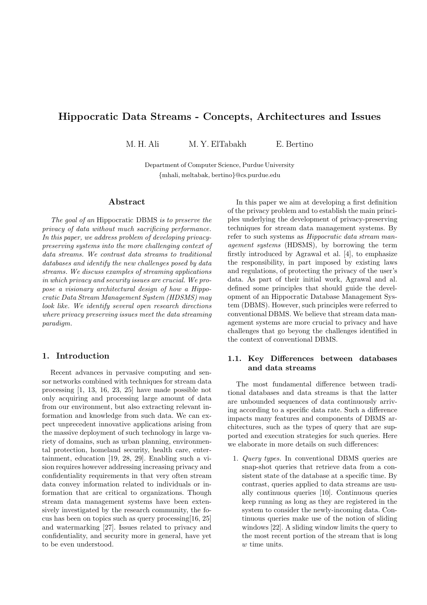# Hippocratic Data Streams - Concepts, Architectures and Issues

M. H. Ali M. Y. ElTabakh E. Bertino

Department of Computer Science, Purdue University {mhali, meltabak, bertino}@cs.purdue.edu

## Abstract

The goal of an Hippocratic DBMS is to preserve the privacy of data without much sacrificing performance. In this paper, we address problem of developing privacypreserving systems into the more challenging context of data streams. We contrast data streams to traditional databases and identify the new challenges posed by data streams. We discuss examples of streaming applications in which privacy and security issues are crucial. We propose a visionary architectural design of how a Hippocratic Data Stream Management System (HDSMS) may look like. We identify several open research directions where privacy preserving issues meet the data streaming paradigm.

## 1. Introduction

Recent advances in pervasive computing and sensor networks combined with techniques for stream data processing [1, 13, 16, 23, 25] have made possible not only acquiring and processing large amount of data from our environment, but also extracting relevant information and knowledge from such data. We can expect unprecedent innovative applications arising from the massive deployment of such technology in large variety of domains, such as urban planning, environmental protection, homeland security, health care, entertainment, education [19, 28, 29]. Enabling such a vision requires however addressing increasing privacy and confidentiality requirements in that very often stream data convey information related to individuals or information that are critical to organizations. Though stream data management systems have been extensively investigated by the research community, the focus has been on topics such as query processing[16, 25] and watermarking [27]. Issues related to privacy and confidentiality, and security more in general, have yet to be even understood.

In this paper we aim at developing a first definition of the privacy problem and to establish the main principles underlying the development of privacy-preserving techniques for stream data management systems. By refer to such systems as Hippocratic data stream management systems (HDSMS), by borrowing the term firstly introduced by Agrawal et al. [4], to emphasize the responsibility, in part imposed by existing laws and regulations, of protecting the privacy of the user's data. As part of their initial work, Agrawal and al. defined some principles that should guide the development of an Hippocratic Database Management System (DBMS). However, such principles were referred to conventional DBMS. We believe that stream data management systems are more crucial to privacy and have challenges that go beyong the challenges identified in the context of conventional DBMS.

## 1.1. Key Differences between databases and data streams

The most fundamental difference between traditional databases and data streams is that the latter are unbounded sequences of data continuously arriving according to a specific data rate. Such a difference impacts many features and components of DBMS architectures, such as the types of query that are supported and execution strategies for such queries. Here we elaborate in more details on such differences:

1. Query types. In conventional DBMS queries are snap-shot queries that retrieve data from a consistent state of the database at a specific time. By contrast, queries applied to data streams are usually continuous queries [10]. Continuous queries keep running as long as they are registered in the system to consider the newly-incoming data. Continuous queries make use of the notion of sliding windows [22]. A sliding window limits the query to the most recent portion of the stream that is long w time units.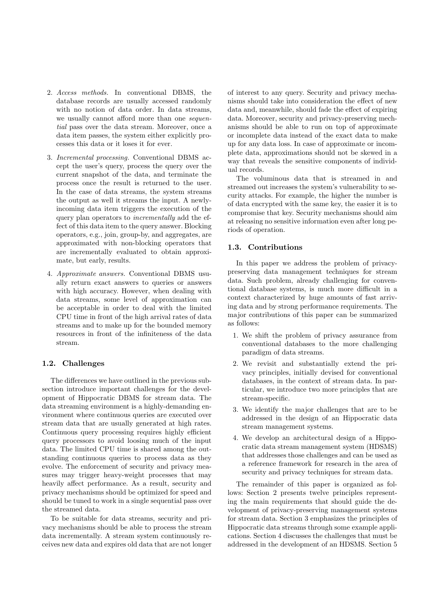- 2. Access methods. In conventional DBMS, the database records are usually accessed randomly with no notion of data order. In data streams, we usually cannot afford more than one *sequen*tial pass over the data stream. Moreover, once a data item passes, the system either explicitly processes this data or it loses it for ever.
- 3. Incremental processing. Conventional DBMS accept the user's query, process the query over the current snapshot of the data, and terminate the process once the result is returned to the user. In the case of data streams, the system streams the output as well it streams the input. A newlyincoming data item triggers the execution of the query plan operators to incrementally add the effect of this data item to the query answer. Blocking operators, e.g., join, group-by, and aggregates, are approximated with non-blocking operators that are incrementally evaluated to obtain approximate, but early, results.
- 4. Approximate answers. Conventional DBMS usually return exact answers to queries or answers with high accuracy. However, when dealing with data streams, some level of approximation can be acceptable in order to deal with the limited CPU time in front of the high arrival rates of data streams and to make up for the bounded memory resources in front of the infiniteness of the data stream.

#### 1.2. Challenges

The differences we have outlined in the previous subsection introduce important challenges for the development of Hippocratic DBMS for stream data. The data streaming environment is a highly-demanding environment where continuous queries are executed over stream data that are usually generated at high rates. Continuous query processing requires highly efficient query processors to avoid loosing much of the input data. The limited CPU time is shared among the outstanding continuous queries to process data as they evolve. The enforcement of security and privacy measures may trigger heavy-weight processes that may heavily affect performance. As a result, security and privacy mechanisms should be optimized for speed and should be tuned to work in a single sequential pass over the streamed data.

To be suitable for data streams, security and privacy mechanisms should be able to process the stream data incrementally. A stream system continuously receives new data and expires old data that are not longer

of interest to any query. Security and privacy mechanisms should take into consideration the effect of new data and, meanwhile, should fade the effect of expiring data. Moreover, security and privacy-preserving mechanisms should be able to run on top of approximate or incomplete data instead of the exact data to make up for any data loss. In case of approximate or incomplete data, approximations should not be skewed in a way that reveals the sensitive components of individual records.

The voluminous data that is streamed in and streamed out increases the system's vulnerability to security attacks. For example, the higher the number is of data encrypted with the same key, the easier it is to compromise that key. Security mechanisms should aim at releasing no sensitive information even after long periods of operation.

#### 1.3. Contributions

In this paper we address the problem of privacypreserving data management techniques for stream data. Such problem, already challenging for conventional database systems, is much more difficult in a context characterized by huge amounts of fast arriving data and by strong performance requirements. The major contributions of this paper can be summarized as follows:

- 1. We shift the problem of privacy assurance from conventional databases to the more challenging paradigm of data streams.
- 2. We revisit and substantially extend the privacy principles, initially devised for conventional databases, in the context of stream data. In particular, we introduce two more principles that are stream-specific.
- 3. We identify the major challenges that are to be addressed in the design of an Hippocratic data stream management systems.
- 4. We develop an architectural design of a Hippocratic data stream management system (HDSMS) that addresses those challenges and can be used as a reference framework for research in the area of security and privacy techniques for stream data.

The remainder of this paper is organized as follows: Section 2 presents twelve principles representing the main requirements that should guide the development of privacy-preserving management systems for stream data. Section 3 emphasizes the principles of Hippocratic data streams through some example applications. Section 4 discusses the challenges that must be addressed in the development of an HDSMS. Section 5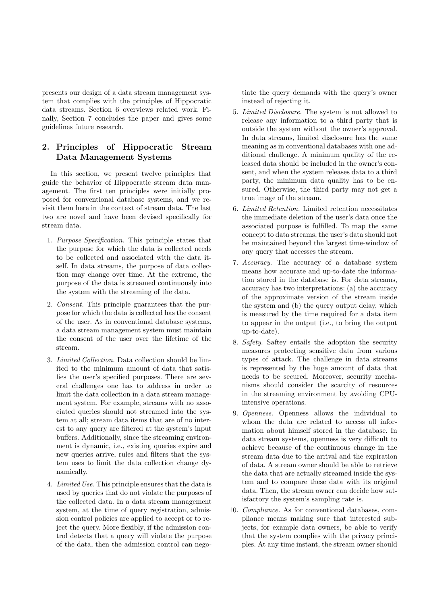presents our design of a data stream management system that complies with the principles of Hippocratic data streams. Section 6 overviews related work. Finally, Section 7 concludes the paper and gives some guidelines future research.

## 2. Principles of Hippocratic Stream Data Management Systems

In this section, we present twelve principles that guide the behavior of Hippocratic stream data management. The first ten principles were initially proposed for conventional database systems, and we revisit them here in the context of stream data. The last two are novel and have been devised specifically for stream data.

- 1. Purpose Specification. This principle states that the purpose for which the data is collected needs to be collected and associated with the data itself. In data streams, the purpose of data collection may change over time. At the extreme, the purpose of the data is streamed continuously into the system with the streaming of the data.
- 2. Consent. This principle guarantees that the purpose for which the data is collected has the consent of the user. As in conventional database systems, a data stream management system must maintain the consent of the user over the lifetime of the stream.
- 3. Limited Collection. Data collection should be limited to the minimum amount of data that satisfies the user's specified purposes. There are several challenges one has to address in order to limit the data collection in a data stream management system. For example, streams with no associated queries should not streamed into the system at all; stream data items that are of no interest to any query are filtered at the system's input buffers. Additionally, since the streaming environment is dynamic, i.e., existing queries expire and new queries arrive, rules and filters that the system uses to limit the data collection change dynamically.
- 4. Limited Use. This principle ensures that the data is used by queries that do not violate the purposes of the collected data. In a data stream management system, at the time of query registration, admission control policies are applied to accept or to reject the query. More flexibly, if the admission control detects that a query will violate the purpose of the data, then the admission control can nego-

tiate the query demands with the query's owner instead of rejecting it.

- 5. Limited Disclosure. The system is not allowed to release any information to a third party that is outside the system without the owner's approval. In data streams, limited disclosure has the same meaning as in conventional databases with one additional challenge. A minimum quality of the released data should be included in the owner's consent, and when the system releases data to a third party, the minimum data quality has to be ensured. Otherwise, the third party may not get a true image of the stream.
- 6. Limited Retention. Limited retention necessitates the immediate deletion of the user's data once the associated purpose is fulfilled. To map the same concept to data streams, the user's data should not be maintained beyond the largest time-window of any query that accesses the stream.
- 7. Accuracy. The accuracy of a database system means how accurate and up-to-date the information stored in the database is. For data streams, accuracy has two interpretations: (a) the accuracy of the approximate version of the stream inside the system and (b) the query output delay, which is measured by the time required for a data item to appear in the output (i.e., to bring the output up-to-date).
- 8. Safety. Saftey entails the adoption the security measures protecting sensitive data from various types of attack. The challenge in data streams is represented by the huge amount of data that needs to be secured. Moreover, security mechanisms should consider the scarcity of resources in the streaming environment by avoiding CPUintensive operations.
- 9. Openness. Openness allows the individual to whom the data are related to access all information about himself stored in the database. In data stream systems, openness is very difficult to achieve because of the continuous change in the stream data due to the arrival and the expiration of data. A stream owner should be able to retrieve the data that are actually streamed inside the system and to compare these data with its original data. Then, the stream owner can decide how satisfactory the system's sampling rate is.
- 10. Compliance. As for conventional databases, compliance means making sure that interested subjects, for example data owners, be able to verify that the system complies with the privacy principles. At any time instant, the stream owner should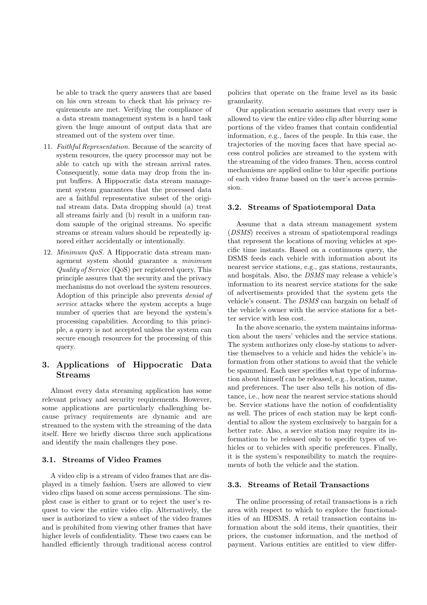be able to track the query answers that are based on his own stream to check that his privacy requirements are met. Verifying the compliance of a data stream management system is a hard task given the huge amount of output data that are streamed out of the system over time.

- 11. Faithful Representation. Because of the scarcity of system resources, the query processor may not be able to catch up with the stream arrival rates. Consequently, some data may drop from the input buffers. A Hippocratic data stream management system guarantees that the processed data are a faithful representative subset of the original stream data. Data dropping should (a) treat all streams fairly and (b) result in a uniform random sample of the original streams. No specific streams or stream values should be repeatedly ignored either accidentally or intentionally.
- 12. Minimum QoS. A Hippocratic data stream management system should guarantee a minimum Quality of Service (QoS) per registered query. This principle assures that the security and the privacy mechanisms do not overload the system resources. Adoption of this principle also prevents denial of service attacks where the system accepts a huge number of queries that are beyond the system's processing capabilities. According to this principle, a query is not accepted unless the system can secure enough resources for the processing of this query.

## 3. Applications of Hippocratic Data Streams

Almost every data streaming application has some relevant privacy and security requirements. However, some applications are particularly challenghing because privacy requirements are dynamic and are streamed to the system with the streaming of the data itself. Here we briefly discuss three such applications and identify the main challenges they pose.

#### 3.1. Streams of Video Frames

A video clip is a stream of video frames that are displayed in a timely fashion. Users are allowed to view video clips based on some access permissions. The simplest case is either to grant or to reject the user's request to view the entire video clip. Alternatively, the user is authorized to view a subset of the video frames and is prohibited from viewing other frames that have higher levels of confidentiality. These two cases can be handled efficiently through traditional access control policies that operate on the frame level as its basic granularity.

Our application scenario assumes that every user is allowed to view the entire video clip after blurring some portions of the video frames that contain confidential information, e.g., faces of the people. In this case, the trajectories of the moving faces that have special access control policies are streamed to the system with the streaming of the video frames. Then, access control mechanisms are applied online to blur specific portions of each video frame based on the user's access permission.

### 3.2. Streams of Spatiotemporal Data

Assume that a data stream management system (DSMS) receives a stream of spatiotemporal readings that represent the locations of moving vehicles at specific time instants. Based on a continuous query, the DSMS feeds each vehicle with information about its nearest service stations, e.g., gas stations, restaurants, and hospitals. Also, the DSMS may release a vehicle's information to its nearest service stations for the sake of advertisements provided that the system gets the vehicle's consent. The DSMS can bargain on behalf of the vehicle's owner with the service stations for a better service with less cost.

In the above scenario, the system maintains information about the users' vehicles and the service stations. The system authorizes only close-by stations to advertise themselves to a vehicle and hides the vehicle's information from other stations to avoid that the vehicle be spammed. Each user specifies what type of information about himself can be released, e.g., location, name, and preferences. The user also tells his notion of distance, i.e., how near the nearest service stations should be. Service stations have the notion of confidentiality as well. The prices of each station may be kept confidential to allow the system exclusively to bargain for a better rate. Also, a service station may require its information to be released only to specific types of vehicles or to vehicles with specific preferences. Finally, it is the system's responsibility to match the requirements of both the vehicle and the station.

#### 3.3. Streams of Retail Transactions

The online processing of retail transactions is a rich area with respect to which to explore the functionalities of an HDSMS. A retail transaction contains information about the sold items, their quantities, their prices, the customer information, and the method of payment. Various entities are entitled to view differ-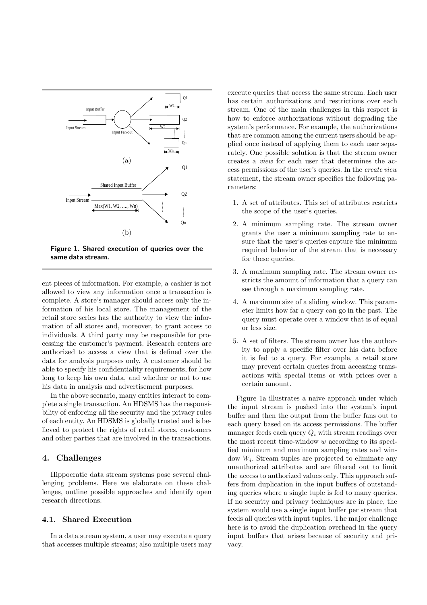

Figure 1. Shared execution of queries over the same data stream.

ent pieces of information. For example, a cashier is not allowed to view any information once a transaction is complete. A store's manager should access only the information of his local store. The management of the retail store series has the authority to view the information of all stores and, moreover, to grant access to individuals. A third party may be responsible for processing the customer's payment. Research centers are authorized to access a view that is defined over the data for analysis purposes only. A customer should be able to specify his confidentiality requirements, for how long to keep his own data, and whether or not to use his data in analysis and advertisement purposes.

In the above scenario, many entities interact to complete a single transaction. An HDSMS has the responsibility of enforcing all the security and the privacy rules of each entity. An HDSMS is globally trusted and is believed to protect the rights of retail stores, customers and other parties that are involved in the transactions.

## 4. Challenges

Hippocratic data stream systems pose several challenging problems. Here we elaborate on these challenges, outline possible approaches and identify open research directions.

#### 4.1. Shared Execution

In a data stream system, a user may execute a query that accesses multiple streams; also multiple users may

execute queries that access the same stream. Each user has certain authorizations and restrictions over each stream. One of the main challenges in this respect is how to enforce authorizations without degrading the system's performance. For example, the authorizations that are common among the current users should be applied once instead of applying them to each user separately. One possible solution is that the stream owner creates a view for each user that determines the access permissions of the user's queries. In the create view statement, the stream owner specifies the following parameters:

- 1. A set of attributes. This set of attributes restricts the scope of the user's queries.
- 2. A minimum sampling rate. The stream owner grants the user a minimum sampling rate to ensure that the user's queries capture the minimum required behavior of the stream that is necessary for these queries.
- 3. A maximum sampling rate. The stream owner restricts the amount of information that a query can see through a maximum sampling rate.
- 4. A maximum size of a sliding window. This parameter limits how far a query can go in the past. The query must operate over a window that is of equal or less size.
- 5. A set of filters. The stream owner has the authority to apply a specific filter over his data before it is fed to a query. For example, a retail store may prevent certain queries from accessing transactions with special items or with prices over a certain amount.

Figure 1a illustrates a naive approach under which the input stream is pushed into the system's input buffer and then the output from the buffer fans out to each query based on its access permissions. The buffer manager feeds each query  $Q_i$  with stream readings over the most recent time-window w according to its specified minimum and maximum sampling rates and window W<sup>i</sup> . Stream tuples are projected to eliminate any unauthorized attributes and are filtered out to limit the access to authorized values only. This approach suffers from duplication in the input buffers of outstanding queries where a single tuple is fed to many queries. If no security and privacy techniques are in place, the system would use a single input buffer per stream that feeds all queries with input tuples. The major challenge here is to avoid the duplication overhead in the query input buffers that arises because of security and privacy.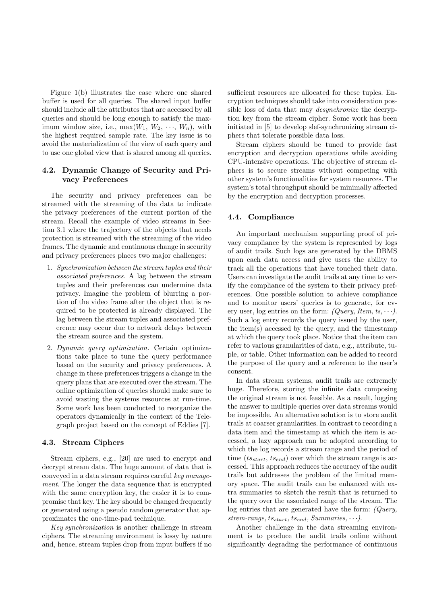Figure 1(b) illustrates the case where one shared buffer is used for all queries. The shared input buffer should include all the attributes that are accessed by all queries and should be long enough to satisfy the maximum window size, i.e.,  $\max(W_1, W_2, \dots, W_n)$ , with the highest required sample rate. The key issue is to avoid the materialization of the view of each query and to use one global view that is shared among all queries.

## 4.2. Dynamic Change of Security and Privacy Preferences

The security and privacy preferences can be streamed with the streaming of the data to indicate the privacy preferences of the current portion of the stream. Recall the example of video streams in Section 3.1 where the trajectory of the objects that needs protection is streamed with the streaming of the video frames. The dynamic and continuous change in security and privacy preferences places two major challenges:

- 1. Synchronization between the stream tuples and their associated preferences. A lag between the stream tuples and their preferences can undermine data privacy. Imagine the problem of blurring a portion of the video frame after the object that is required to be protected is already displayed. The lag between the stream tuples and associated preference may occur due to network delays between the stream source and the system.
- 2. Dynamic query optimization. Certain optimizations take place to tune the query performance based on the security and privacy preferences. A change in these preferences triggers a change in the query plans that are executed over the stream. The online optimization of queries should make sure to avoid wasting the systems resources at run-time. Some work has been conducted to reorganize the operators dynamically in the context of the Telegraph project based on the concept of Eddies [7].

#### 4.3. Stream Ciphers

Stream ciphers, e.g., [20] are used to encrypt and decrypt stream data. The huge amount of data that is conveyed in a data stream requires careful key management. The longer the data sequence that is encrypted with the same encryption key, the easier it is to compromise that key. The key should be changed frequently or generated using a pseudo random generator that approximates the one-time-pad technique.

Key synchronization is another challenge in stream ciphers. The streaming environment is lossy by nature and, hence, stream tuples drop from input buffers if no

sufficient resources are allocated for these tuples. Encryption techniques should take into consideration possible loss of data that may desynchronize the decryption key from the stream cipher. Some work has been initiated in [5] to develop slef-synchronizing stream ciphers that tolerate possible data loss.

Stream ciphers should be tuned to provide fast encryption and decryption operations while avoiding CPU-intensive operations. The objective of stream ciphers is to secure streams without competing with other system's functionalities for system resources. The system's total throughput should be minimally affected by the encryption and decryption processes.

#### 4.4. Compliance

An important mechanism supporting proof of privacy compliance by the system is represented by logs of audit trails. Such logs are generated by the DBMS upon each data access and give users the ability to track all the operations that have touched their data. Users can investigate the audit trails at any time to verify the compliance of the system to their privacy preferences. One possible solution to achieve compliance and to monitor users' queries is to generate, for every user, log entries on the form:  $(Query, Item, ts, \cdots)$ . Such a log entry records the query issued by the user, the item(s) accessed by the query, and the timestamp at which the query took place. Notice that the item can refer to various granularities of data, e.g., attribute, tuple, or table. Other information can be added to record the purpose of the query and a reference to the user's consent.

In data stream systems, audit trails are extremely huge. Therefore, storing the infinite data composing the original stream is not feasible. As a result, logging the answer to multiple queries over data streams would be impossible. An alternative solution is to store audit trails at coarser granularities. In contrast to recording a data item and the timestamp at which the item is accessed, a lazy approach can be adopted according to which the log records a stream range and the period of time  $(ts_{start}, ts_{end})$  over which the stream range is accessed. This approach reduces the accuracy of the audit trails but addresses the problem of the limited memory space. The audit trails can be enhanced with extra summaries to sketch the result that is returned to the query over the associated range of the stream. The log entries that are generated have the form: (Query, strem-range,  $ts_{start}$ ,  $ts_{end}$ , Summaries,  $\cdots$ ).

Another challenge in the data streaming environment is to produce the audit trails online without significantly degrading the performance of continuous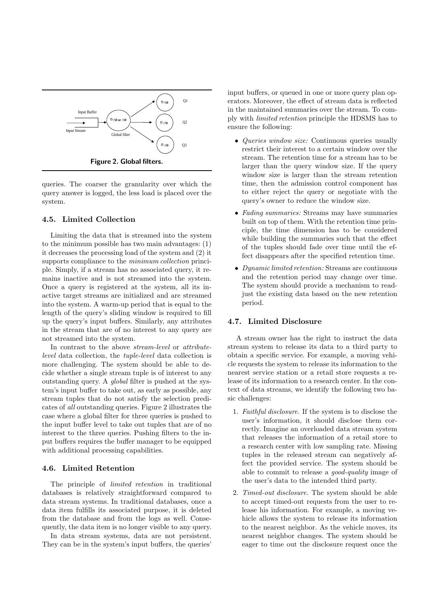

queries. The coarser the granularity over which the query answer is logged, the less load is placed over the system.

#### 4.5. Limited Collection

Limiting the data that is streamed into the system to the minimum possible has two main advantages: (1) it decreases the processing load of the system and (2) it supports compliance to the *minimum collection* principle. Simply, if a stream has no associated query, it remains inactive and is not streamed into the system. Once a query is registered at the system, all its inactive target streams are initialized and are streamed into the system. A warm-up period that is equal to the length of the query's sliding window is required to fill up the query's input buffers. Similarly, any attributes in the stream that are of no interest to any query are not streamed into the system.

In contrast to the above *stream-level* or *attribute*level data collection, the tuple-level data collection is more challenging. The system should be able to decide whether a single stream tuple is of interest to any outstanding query. A global filter is pushed at the system's input buffer to take out, as early as possible, any stream tuples that do not satisfy the selection predicates of all outstanding queries. Figure 2 illustrates the case where a global filter for three queries is pushed to the input buffer level to take out tuples that are of no interest to the three queries. Pushing filters to the input buffers requires the buffer manager to be equipped with additional processing capabilities.

## 4.6. Limited Retention

The principle of *limited retention* in traditional databases is relatively straightforward compared to data stream systems. In traditional databases, once a data item fulfills its associated purpose, it is deleted from the database and from the logs as well. Consequently, the data item is no longer visible to any query.

In data stream systems, data are not persistent. They can be in the system's input buffers, the queries'

input buffers, or queued in one or more query plan operators. Moreover, the effect of stream data is reflected in the maintained summaries over the stream. To comply with limited retention principle the HDSMS has to ensure the following:

- *Queries window size:* Continuous queries usually restrict their interest to a certain window over the stream. The retention time for a stream has to be larger than the query window size. If the query window size is larger than the stream retention time, then the admission control component has to either reject the query or negotiate with the query's owner to reduce the window size.
- Fading summaries: Streams may have summaries built on top of them. With the retention time principle, the time dimension has to be considered while building the summaries such that the effect of the tuples should fade over time until the effect disappears after the specified retention time.
- Dynamic limited retention: Streams are continuous and the retention period may change over time. The system should provide a mechanism to readjust the existing data based on the new retention period.

## 4.7. Limited Disclosure

A stream owner has the right to instruct the data stream system to release its data to a third party to obtain a specific service. For example, a moving vehicle requests the system to release its information to the nearest service station or a retail store requests a release of its information to a research center. In the context of data streams, we identify the following two basic challenges:

- 1. Faithful disclosure. If the system is to disclose the user's information, it should disclose them correctly. Imagine an overloaded data stream system that releases the information of a retail store to a research center with low sampling rate. Missing tuples in the released stream can negatively affect the provided service. The system should be able to commit to release a good-quality image of the user's data to the intended third party.
- 2. Timed-out disclosure. The system should be able to accept timed-out requests from the user to release his information. For example, a moving vehicle allows the system to release its information to the nearest neighbor. As the vehicle moves, its nearest neighbor changes. The system should be eager to time out the disclosure request once the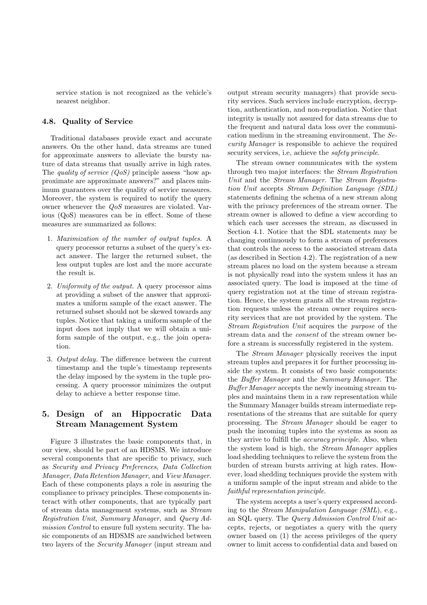service station is not recognized as the vehicle's nearest neighbor.

## 4.8. Quality of Service

Traditional databases provide exact and accurate answers. On the other hand, data streams are tuned for approximate answers to alleviate the bursty nature of data streams that usually arrive in high rates. The *quality of service*  $(QoS)$  principle assess "how approximate are approximate answers?" and places minimum guarantees over the quality of service measures. Moreover, the system is required to notify the query owner whenever the QoS measures are violated. Various (QoS) measures can be in effect. Some of these measures are summarized as follows:

- 1. Maximization of the number of output tuples. A query processor returns a subset of the query's exact answer. The larger the returned subset, the less output tuples are lost and the more accurate the result is.
- 2. Uniformity of the output. A query processor aims at providing a subset of the answer that approximates a uniform sample of the exact answer. The returned subset should not be skewed towards any tuples. Notice that taking a uniform sample of the input does not imply that we will obtain a uniform sample of the output, e.g., the join operation.
- 3. Output delay. The difference between the current timestamp and the tuple's timestamp represents the delay imposed by the system in the tuple processing. A query processor minimizes the output delay to achieve a better response time.

## 5. Design of an Hippocratic Data Stream Management System

Figure 3 illustrates the basic components that, in our view, should be part of an HDSMS. We introduce several components that are specific to privacy, such as Security and Privacy Preferences, Data Collection Manager, Data Retention Manager, and View Manager. Each of these components plays a role in assuring the compliance to privacy principles. These components interact with other components, that are typically part of stream data management systems, such as Stream Registration Unit, Summary Manager, and Query Admission Control to ensure full system security. The basic components of an HDSMS are sandwiched between two layers of the Security Manager (input stream and

output stream security managers) that provide security services. Such services include encryption, decryption, authentication, and non-repudiation. Notice that integrity is usually not assured for data streams due to the frequent and natural data loss over the communication medium in the streaming environment. The Security Manager is responsible to achieve the required security services, i.e, achieve the *safety principle*.

The stream owner communicates with the system through two major interfaces: the Stream Registration Unit and the Stream Manager. The Stream Registration Unit accepts Stream Definition Language (SDL) statements defining the schema of a new stream along with the privacy preferences of the stream owner. The stream owner is allowed to define a view according to which each user accesses the stream, as discussed in Section 4.1. Notice that the SDL statements may be changing continuously to form a stream of preferences that controls the access to the associated stream data (as described in Section 4.2). The registration of a new stream places no load on the system because a stream is not physically read into the system unless it has an associated query. The load is imposed at the time of query registration not at the time of stream registration. Hence, the system grants all the stream registration requests unless the stream owner requires security services that are not provided by the system. The Stream Registration Unit acquires the purpose of the stream data and the consent of the stream owner before a stream is successfully registered in the system.

The Stream Manager physically receives the input stream tuples and prepares it for further processing inside the system. It consists of two basic components: the Buffer Manager and the Summary Manager. The Buffer Manager accepts the newly incoming stream tuples and maintains them in a raw representation while the Summary Manager builds stream intermediate representations of the streams that are suitable for query processing. The Stream Manager should be eager to push the incoming tuples into the systems as soon as they arrive to fulfill the accuracy principle. Also, when the system load is high, the Stream Manager applies load shedding techniques to relieve the system from the burden of stream bursts arriving at high rates. However, load shedding techniques provide the system with a uniform sample of the input stream and abide to the faithful representation principle.

The system accepts a user's query expressed according to the Stream Manipulation Language (SML), e.g., an SQL query. The Query Admission Control Unit accepts, rejects, or negotiates a query with the query owner based on (1) the access privileges of the query owner to limit access to confidential data and based on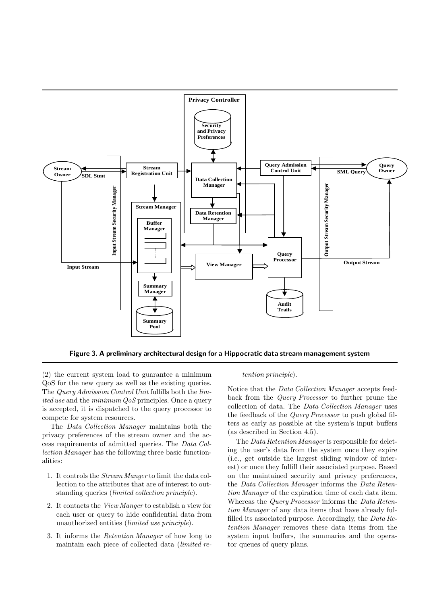

Figure 3. A preliminary architectural design for a Hippocratic data stream management system

(2) the current system load to guarantee a minimum QoS for the new query as well as the existing queries. The Query Admission Control Unit fulfills both the limited use and the minimum  $QoS$  principles. Once a query is accepted, it is dispatched to the query processor to compete for system resources.

The Data Collection Manager maintains both the privacy preferences of the stream owner and the access requirements of admitted queries. The Data Collection Manager has the following three basic functionalities:

- 1. It controls the Stream Manger to limit the data collection to the attributes that are of interest to outstanding queries (limited collection principle).
- 2. It contacts the View Manger to establish a view for each user or query to hide confidential data from unauthorized entities (limited use principle).
- 3. It informs the Retention Manager of how long to maintain each piece of collected data (limited re-

#### tention principle).

Notice that the Data Collection Manager accepts feedback from the Query Processor to further prune the collection of data. The Data Collection Manager uses the feedback of the Query Processor to push global filters as early as possible at the system's input buffers (as described in Section 4.5).

The Data Retention Manager is responsible for deleting the user's data from the system once they expire (i.e., get outside the largest sliding window of interest) or once they fulfill their associated purpose. Based on the maintained security and privacy preferences, the Data Collection Manager informs the Data Retention Manager of the expiration time of each data item. Whereas the Query Processor informs the Data Retention Manager of any data items that have already fulfilled its associated purpose. Accordingly, the Data Retention Manager removes these data items from the system input buffers, the summaries and the operator queues of query plans.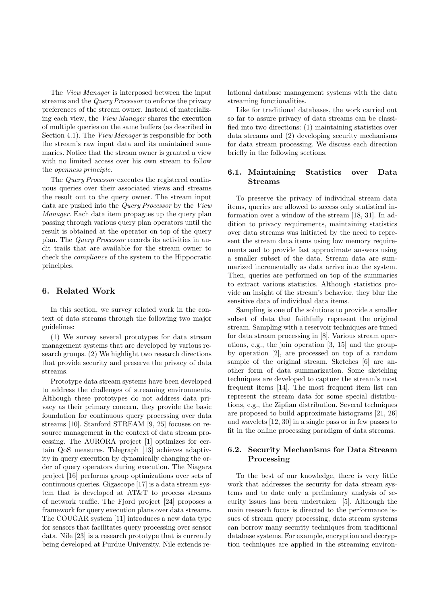The View Manager is interposed between the input streams and the Query Processor to enforce the privacy preferences of the stream owner. Instead of materializing each view, the View Manager shares the execution of multiple queries on the same buffers (as described in Section 4.1). The View Manager is responsible for both the stream's raw input data and its maintained summaries. Notice that the stream owner is granted a view with no limited access over his own stream to follow the openness principle.

The Query Processor executes the registered continuous queries over their associated views and streams the result out to the query owner. The stream input data are pushed into the Query Processor by the View Manager. Each data item propagtes up the query plan passing through various query plan operators until the result is obtained at the operator on top of the query plan. The Query Processor records its activities in audit trails that are available for the stream owner to check the compliance of the system to the Hippocratic principles.

## 6. Related Work

In this section, we survey related work in the context of data streams through the following two major guidelines:

(1) We survey several prototypes for data stream management systems that are developed by various research groups. (2) We highlight two research directions that provide security and preserve the privacy of data streams.

Prototype data stream systems have been developed to address the challenges of streaming environments. Although these prototypes do not address data privacy as their primary concern, they provide the basic foundation for continuous query processing over data streams [10]. Stanford STREAM [9, 25] focuses on resource management in the context of data stream processing. The AURORA project [1] optimizes for certain QoS measures. Telegraph [13] achieves adaptivity in query execution by dynamically changing the order of query operators during execution. The Niagara project [16] performs group optimizations over sets of continuous queries. Gigascope [17] is a data stream system that is developed at AT&T to process streams of network traffic. The Fjord project [24] proposes a framework for query execution plans over data streams. The COUGAR system [11] introduces a new data type for sensors that facilitates query processing over sensor data. Nile [23] is a research prototype that is currently being developed at Purdue University. Nile extends relational database management systems with the data streaming functionalities.

Like for traditional databases, the work carried out so far to assure privacy of data streams can be classified into two directions: (1) maintaining statistics over data streams and (2) developing security mechanisms for data stream processing. We discuss each direction briefly in the following sections.

## 6.1. Maintaining Statistics over Data Streams

To preserve the privacy of individual stream data items, queries are allowed to access only statistical information over a window of the stream [18, 31]. In addition to privacy requirements, maintaining statistics over data streams was initiated by the need to represent the stream data items using low memory requirements and to provide fast approximate answers using a smaller subset of the data. Stream data are summarized incrementally as data arrive into the system. Then, queries are performed on top of the summaries to extract various statistics. Although statistics provide an insight of the stream's behavior, they blur the sensitive data of individual data items.

Sampling is one of the solutions to provide a smaller subset of data that faithfully represent the original stream. Sampling with a reservoir techniques are tuned for data stream processing in [8]. Various stream operations, e.g., the join operation [3, 15] and the groupby operation [2], are processed on top of a random sample of the original stream. Sketches [6] are another form of data summarization. Some sketching techniques are developed to capture the stream's most frequent items [14]. The most frequent item list can represent the stream data for some special distributions, e.g., the Zipfian distribution. Several techniques are proposed to build approximate histograms [21, 26] and wavelets [12, 30] in a single pass or in few passes to fit in the online processing paradigm of data streams.

## 6.2. Security Mechanisms for Data Stream Processing

To the best of our knowledge, there is very little work that addresses the security for data stream systems and to date only a preliminary analysis of security issues has been undertaken [5]. Although the main research focus is directed to the performance issues of stream query processing, data stream systems can borrow many security techniques from traditional database systems. For example, encryption and decryption techniques are applied in the streaming environ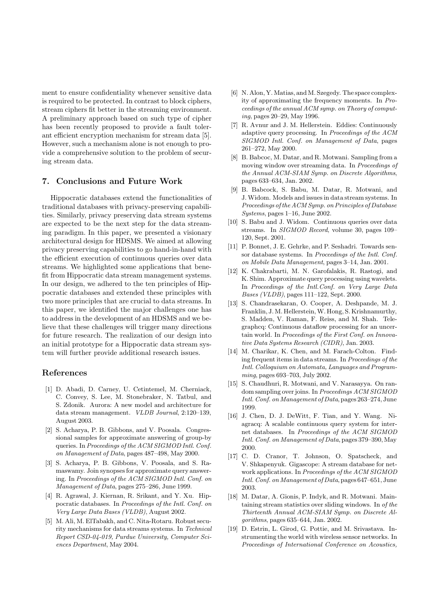ment to ensure confidentiality whenever sensitive data is required to be protected. In contrast to block ciphers, stream ciphers fit better in the streaming environment. A preliminary approach based on such type of cipher has been recently proposed to provide a fault tolerant efficient encryption mechanism for stream data [5]. However, such a mechanism alone is not enough to provide a comprehensive solution to the problem of securing stream data.

## 7. Conclusions and Future Work

Hippocratic databases extend the functionalities of traditional databases with privacy-preserving capabilities. Similarly, privacy preserving data stream systems are expected to be the next step for the data streaming paradigm. In this paper, we presented a visionary architectural design for HDSMS. We aimed at allowing privacy preserving capabilities to go hand-in-hand with the efficient execution of continuous queries over data streams. We highlighted some applications that benefit from Hippocratic data stream management systems. In our design, we adhered to the ten principles of Hippocratic databases and extended these principles with two more principles that are crucial to data streams. In this paper, we identified the major challenges one has to address in the development of an HDSMS and we believe that these challenges will trigger many directions for future research. The realization of our design into an initial prototype for a Hippocratic data stream system will further provide additional research issues.

## References

- [1] D. Abadi, D. Carney, U. Cetintemel, M. Cherniack, C. Convey, S. Lee, M. Stonebraker, N. Tatbul, and S. Zdonik. Aurora: A new model and architecture for data stream management. VLDB Journal, 2:120–139, August 2003.
- [2] S. Acharya, P. B. Gibbons, and V. Poosala. Congressional samples for approximate answering of group-by queries. InProceedings of the ACM SIGMOD Intl. Conf. on Management of Data, pages 487–498, May 2000.
- [3] S. Acharya, P. B. Gibbons, V. Poosala, and S. Ramaswamy. Join synopses for approximate query answering. In Proceedings of the ACM SIGMOD Intl. Conf. on Management of Data, pages 275–286, June 1999.
- [4] R. Agrawal, J. Kiernan, R. Srikant, and Y. Xu. Hippocratic databases. In Proceedings of the Intl. Conf. on Very Large Data Bases (VLDB), August 2002.
- [5] M. Ali, M. ElTabakh, and C. Nita-Rotaru. Robust security mechanisms for data streams systems. In Technical Report CSD-04-019, Purdue University, Computer Sciences Department, May 2004.
- [6] N. Alon, Y. Matias, and M. Szegedy. The space complexity of approximating the frequency moments. In Proceedings of the annual ACM symp. on Theory of computing, pages 20–29, May 1996.
- [7] R. Avnur and J. M. Hellerstein. Eddies: Continuously adaptive query processing. In Proceedings of the ACM SIGMOD Intl. Conf. on Management of Data, pages 261–272, May 2000.
- [8] B. Babcoc, M. Datar, and R. Motwani. Sampling from a moving window over streaming data. In Proceedings of the Annual ACM-SIAM Symp. on Discrete Algorithms, pages 633–634, Jan. 2002.
- [9] B. Babcock, S. Babu, M. Datar, R. Motwani, and J. Widom. Models and issues in data stream systems. In Proceedings of the ACM Symp. on Principles of Database Systems, pages 1–16, June 2002.
- [10] S. Babu and J. Widom. Continuous queries over data streams. In SIGMOD Record, volume 30, pages 109– 120, Sept. 2001.
- [11] P. Bonnet, J. E. Gehrke, and P. Seshadri. Towards sensor database systems. In Proceedings of the Intl. Conf. on Mobile Data Management, pages 3–14, Jan. 2001.
- [12] K. Chakrabarti, M. N. Garofalakis, R. Rastogi, and K. Shim. Approximate query processing using wavelets. In Proceedings of the Intl.Conf. on Very Large Data Bases (VLDB), pages 111–122, Sept. 2000.
- [13] S. Chandrasekaran, O. Cooper, A. Deshpande, M. J. Franklin, J.M. Hellerstein,W. Hong, S. Krishnamurthy, S. Madden, V. Raman, F. Reiss, and M. Shah. Telegraphcq: Continuous dataflow processing for an uncertain world. In Proceedings of the First Conf. on Innovative Data Systems Research (CIDR), Jan. 2003.
- [14] M. Charikar, K. Chen, and M. Farach-Colton. Finding frequent items in data streams. In Proceedings of the Intl. Colloquium on Automata, Languages and Programming, pages 693–703, July 2002.
- [15] S. Chaudhuri, R. Motwani, and V. Narasayya. On random sampling over joins. In Proceedings ACM SIGMOD Intl. Conf. on Management of Data, pages 263–274, June 1999.
- [16] J. Chen, D. J. DeWitt, F. Tian, and Y. Wang. Niagracq: A scalable continuous query system for internet databases. In Proceedings of the ACM SIGMOD Intl. Conf. on Management of Data, pages 379-390, May 2000.
- [17] C. D. Cranor, T. Johnson, O. Spatscheck, and V. Shkapenyuk. Gigascope: A stream database for network applications. In Proceedings of the ACM SIGMOD Intl. Conf. on Management of Data, pages 647–651, June 2003.
- [18] M. Datar, A. Gionis, P. Indyk, and R. Motwani. Maintaining stream statistics over sliding windows. In of the Thirteenth Annual ACM-SIAM Symp. on Discrete Algorithms, pages 635–644, Jan. 2002.
- [19] D. Estrin, L. Girod, G. Pottie, and M. Srivastava. Instrumenting the world with wireless sensor networks. In Proceedings of International Conference on Acoustics,